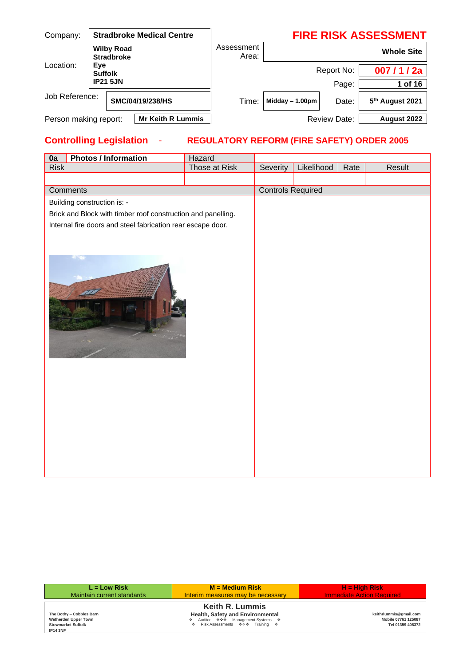| Company:                               |                       |  | <b>Stradbroke Medical Centre</b> |       | <b>FIRE RISK ASSESSMENT</b> |              |                             |  |  |
|----------------------------------------|-----------------------|--|----------------------------------|-------|-----------------------------|--------------|-----------------------------|--|--|
| <b>Wilby Road</b><br><b>Stradbroke</b> |                       |  | Assessment<br>Area:              |       | <b>Whole Site</b>           |              |                             |  |  |
| Location:                              | Eye<br><b>Suffolk</b> |  |                                  |       |                             | Report No:   | 007/1/2a                    |  |  |
| <b>IP21 5JN</b>                        |                       |  |                                  |       | Page:                       | 1 of 16      |                             |  |  |
| Job Reference:                         |                       |  | SMC/04/19/238/HS                 | Time: | Midday $-1.00$ pm           | Date:        | 5 <sup>th</sup> August 2021 |  |  |
| Person making report:                  |                       |  | <b>Mr Keith R Lummis</b>         |       |                             | Review Date: | August 2022                 |  |  |

## **Controlling Legislation** - **REGULATORY REFORM (FIRE SAFETY) ORDER 2005**

| 0a          | <b>Photos / Information</b>                                  | Hazard        |                          |            |      |        |
|-------------|--------------------------------------------------------------|---------------|--------------------------|------------|------|--------|
| <b>Risk</b> |                                                              | Those at Risk | Severity                 | Likelihood | Rate | Result |
|             |                                                              |               |                          |            |      |        |
|             | Comments                                                     |               | <b>Controls Required</b> |            |      |        |
|             | Building construction is: -                                  |               |                          |            |      |        |
|             | Brick and Block with timber roof construction and panelling. |               |                          |            |      |        |
|             | Internal fire doors and steel fabrication rear escape door.  |               |                          |            |      |        |
|             |                                                              |               |                          |            |      |        |
|             |                                                              |               |                          |            |      |        |
|             |                                                              |               |                          |            |      |        |
|             |                                                              |               |                          |            |      |        |
|             |                                                              |               |                          |            |      |        |

| $L = Low Risk$                                                                                   | $M = Medium Risk$                                                                                                                         | $H = High Risk$                                                   |
|--------------------------------------------------------------------------------------------------|-------------------------------------------------------------------------------------------------------------------------------------------|-------------------------------------------------------------------|
| Maintain current standards                                                                       | Interim measures may be necessary                                                                                                         | <b>Immediate Action Required</b>                                  |
| The Bothy - Cobbles Barn<br>Wetherden Upper Town<br><b>Stowmarket Suffolk</b><br><b>IP14 3NF</b> | <b>Keith R. Lummis</b><br>Health, Safety and Environmental<br>♦ Auditor ♦ ♦ Management Systems ♦<br>Risk Assessments ��� Training �<br>÷. | keithrlummis@gmail.com<br>Mobile 07761 125087<br>Tel 01359 408372 |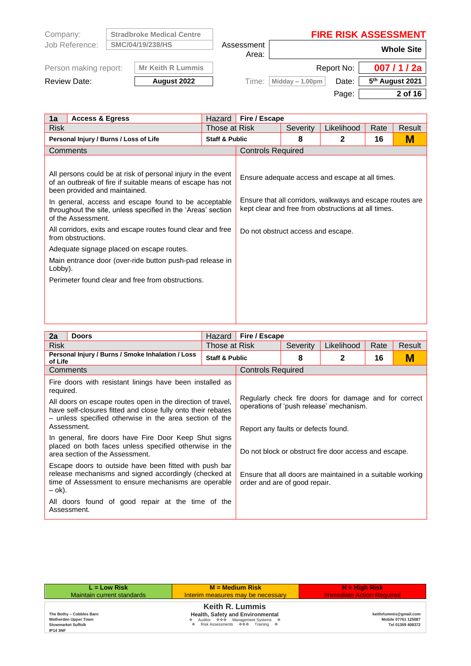| Company:              | <b>Stradbroke Medical Centre</b> |                     |                   |            | <b>FIRE RISK ASSESSMENT</b> |
|-----------------------|----------------------------------|---------------------|-------------------|------------|-----------------------------|
| Job Reference:        | SMC/04/19/238/HS                 | Assessment<br>Area: | <b>Whole Site</b> |            |                             |
| Person making report: | <b>Mr Keith R Lummis</b>         |                     |                   | Report No: | 007/1/2a                    |
| Review Date:          | August 2022                      | Time:               | Midday - 1.00pm   | Date:      | 5 <sup>th</sup> August 2021 |
|                       |                                  |                     |                   | Page:      | 2 of 16                     |

| 1a          | <b>Access &amp; Egress</b>                                                                                                                                                                                                                                                                                                                                                                                                                                                                                                                                   | Hazard                    | Fire / Escape                      |          |                                                                                                                                                                     |      |        |
|-------------|--------------------------------------------------------------------------------------------------------------------------------------------------------------------------------------------------------------------------------------------------------------------------------------------------------------------------------------------------------------------------------------------------------------------------------------------------------------------------------------------------------------------------------------------------------------|---------------------------|------------------------------------|----------|---------------------------------------------------------------------------------------------------------------------------------------------------------------------|------|--------|
| <b>Risk</b> |                                                                                                                                                                                                                                                                                                                                                                                                                                                                                                                                                              | Those at Risk             |                                    | Severity | Likelihood                                                                                                                                                          | Rate | Result |
|             | Personal Injury / Burns / Loss of Life                                                                                                                                                                                                                                                                                                                                                                                                                                                                                                                       | <b>Staff &amp; Public</b> |                                    | 8        | 2                                                                                                                                                                   | 16   | М      |
|             | Comments                                                                                                                                                                                                                                                                                                                                                                                                                                                                                                                                                     |                           | <b>Controls Required</b>           |          |                                                                                                                                                                     |      |        |
| Lobby).     | All persons could be at risk of personal injury in the event<br>of an outbreak of fire if suitable means of escape has not<br>been provided and maintained.<br>In general, access and escape found to be acceptable<br>throughout the site, unless specified in the 'Areas' section<br>of the Assessment.<br>All corridors, exits and escape routes found clear and free<br>from obstructions.<br>Adequate signage placed on escape routes.<br>Main entrance door (over-ride button push-pad release in<br>Perimeter found clear and free from obstructions. |                           | Do not obstruct access and escape. |          | Ensure adequate access and escape at all times.<br>Ensure that all corridors, walkways and escape routes are<br>kept clear and free from obstructions at all times. |      |        |

I

| 2a          | <b>Doors</b>                                                                                                                                                                                          | Hazard                                                                                           | Fire / Escape                                                                                |          |                                                            |      |        |
|-------------|-------------------------------------------------------------------------------------------------------------------------------------------------------------------------------------------------------|--------------------------------------------------------------------------------------------------|----------------------------------------------------------------------------------------------|----------|------------------------------------------------------------|------|--------|
| <b>Risk</b> | Those at Risk                                                                                                                                                                                         |                                                                                                  |                                                                                              | Severity | Likelihood                                                 | Rate | Result |
| of Life     | Personal Injury / Burns / Smoke Inhalation / Loss                                                                                                                                                     | <b>Staff &amp; Public</b>                                                                        |                                                                                              | 8        | $\mathbf{2}$                                               | 16   | M      |
|             | Comments                                                                                                                                                                                              |                                                                                                  | <b>Controls Required</b>                                                                     |          |                                                            |      |        |
| required.   | Fire doors with resistant linings have been installed as                                                                                                                                              |                                                                                                  |                                                                                              |          |                                                            |      |        |
|             | All doors on escape routes open in the direction of travel,<br>have self-closures fitted and close fully onto their rebates<br>- unless specified otherwise in the area section of the<br>Assessment. | Regularly check fire doors for damage and for correct<br>operations of 'push release' mechanism. |                                                                                              |          |                                                            |      |        |
|             | In general, fire doors have Fire Door Keep Shut signs<br>placed on both faces unless specified otherwise in the<br>area section of the Assessment.                                                    |                                                                                                  | Report any faults or defects found.<br>Do not block or obstruct fire door access and escape. |          |                                                            |      |        |
| – ok).      | Escape doors to outside have been fitted with push bar<br>release mechanisms and signed accordingly (checked at<br>time of Assessment to ensure mechanisms are operable                               |                                                                                                  | order and are of good repair.                                                                |          | Ensure that all doors are maintained in a suitable working |      |        |
|             | All doors found of good repair at the time of the<br>Assessment.                                                                                                                                      |                                                                                                  |                                                                                              |          |                                                            |      |        |

| $L = Low Risk$                                                                                   | $M = Medium Risk$                                                                                                                         | $H = High Risk$                                                   |
|--------------------------------------------------------------------------------------------------|-------------------------------------------------------------------------------------------------------------------------------------------|-------------------------------------------------------------------|
| Maintain current standards                                                                       | Interim measures may be necessary                                                                                                         | <b>Immediate Action Required</b>                                  |
| The Bothy - Cobbles Barn<br>Wetherden Upper Town<br><b>Stowmarket Suffolk</b><br><b>IP14 3NF</b> | <b>Keith R. Lummis</b><br>Health, Safety and Environmental<br>♦ Auditor ♦ ♦ Management Systems ♦<br>♦ Risk Assessments • • • Training • • | keithrlummis@gmail.com<br>Mobile 07761 125087<br>Tel 01359 408372 |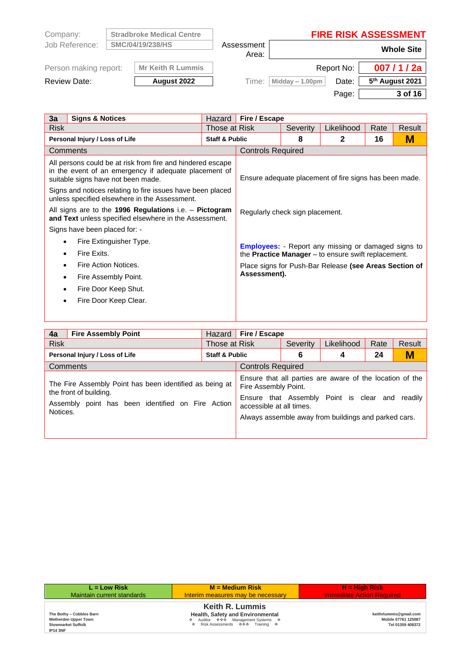| Company:              |                  | <b>Stradbroke Medical Centre</b> |       |                   |                     | <b>FIRE RISK ASSESSMENT</b> |  |  |  |
|-----------------------|------------------|----------------------------------|-------|-------------------|---------------------|-----------------------------|--|--|--|
| Job Reference:        | SMC/04/19/238/HS |                                  |       |                   | Assessment<br>Area: | <b>Whole Site</b>           |  |  |  |
| Person making report: |                  | <b>Mr Keith R Lummis</b>         |       |                   | Report No:          | 007/1/2a                    |  |  |  |
| <b>Review Date:</b>   |                  | August 2022                      | Time: | Midday $-1.00$ pm | Date:               | 5 <sup>th</sup> August 2021 |  |  |  |
|                       |                  |                                  |       |                   | Page:               | 3 of 16                     |  |  |  |

L.

| 3a                                                                                                               | <b>Signs &amp; Notices</b>                                                                                                                                | Hazard                    | Fire / Escape                                                |          |                                                        |      |        |
|------------------------------------------------------------------------------------------------------------------|-----------------------------------------------------------------------------------------------------------------------------------------------------------|---------------------------|--------------------------------------------------------------|----------|--------------------------------------------------------|------|--------|
| <b>Risk</b>                                                                                                      | Those at Risk                                                                                                                                             |                           |                                                              | Severity | Likelihood                                             | Rate | Result |
|                                                                                                                  | Personal Injury / Loss of Life                                                                                                                            | <b>Staff &amp; Public</b> |                                                              | 8        | 2                                                      | 16   | М      |
|                                                                                                                  | Comments                                                                                                                                                  |                           | <b>Controls Required</b>                                     |          |                                                        |      |        |
|                                                                                                                  | All persons could be at risk from fire and hindered escape<br>in the event of an emergency if adequate placement of<br>suitable signs have not been made. |                           |                                                              |          | Ensure adequate placement of fire signs has been made. |      |        |
|                                                                                                                  | Signs and notices relating to fire issues have been placed<br>unless specified elsewhere in the Assessment.                                               |                           |                                                              |          |                                                        |      |        |
| All signs are to the 1996 Regulations i.e. - Pictogram<br>and Text unless specified elsewhere in the Assessment. |                                                                                                                                                           |                           | Regularly check sign placement.                              |          |                                                        |      |        |
|                                                                                                                  | Signs have been placed for: -                                                                                                                             |                           |                                                              |          |                                                        |      |        |
|                                                                                                                  | Fire Extinguisher Type.                                                                                                                                   |                           | <b>Employees:</b> - Report any missing or damaged signs to   |          |                                                        |      |        |
|                                                                                                                  | Fire Exits.                                                                                                                                               |                           | the <b>Practice Manager</b> $-$ to ensure swift replacement. |          |                                                        |      |        |
|                                                                                                                  | Fire Action Notices.                                                                                                                                      |                           | Place signs for Push-Bar Release (see Areas Section of       |          |                                                        |      |        |
| $\bullet$                                                                                                        | Fire Assembly Point.                                                                                                                                      |                           | Assessment).                                                 |          |                                                        |      |        |
|                                                                                                                  | Fire Door Keep Shut.                                                                                                                                      |                           |                                                              |          |                                                        |      |        |
|                                                                                                                  | Fire Door Keep Clear.                                                                                                                                     |                           |                                                              |          |                                                        |      |        |
|                                                                                                                  |                                                                                                                                                           |                           |                                                              |          |                                                        |      |        |

| 4a                             | <b>Fire Assembly Point</b>                                                                                                             | Hazard                    | Fire / Escape                                    |          |                                                                                                                                                             |      |         |
|--------------------------------|----------------------------------------------------------------------------------------------------------------------------------------|---------------------------|--------------------------------------------------|----------|-------------------------------------------------------------------------------------------------------------------------------------------------------------|------|---------|
| <b>Risk</b>                    |                                                                                                                                        | Those at Risk             |                                                  | Severity | Likelihood                                                                                                                                                  | Rate | Result  |
| Personal Injury / Loss of Life |                                                                                                                                        | <b>Staff &amp; Public</b> |                                                  | 6        | 4                                                                                                                                                           | 24   | M       |
|                                | Comments                                                                                                                               |                           | <b>Controls Required</b>                         |          |                                                                                                                                                             |      |         |
| Notices.                       | The Fire Assembly Point has been identified as being at<br>the front of building.<br>Assembly point has been identified on Fire Action |                           | Fire Assembly Point.<br>accessible at all times. |          | Ensure that all parties are aware of the location of the<br>Ensure that Assembly Point is clear and<br>Always assemble away from buildings and parked cars. |      | readily |

| $L = Low Risk$                                                                                   | $M = Medium Risk$                                                                                                                     | $H = H$ iah Risk                                                  |
|--------------------------------------------------------------------------------------------------|---------------------------------------------------------------------------------------------------------------------------------------|-------------------------------------------------------------------|
| Maintain current standards                                                                       | Interim measures may be necessary                                                                                                     | <b>Immediate Action Required</b>                                  |
| The Bothy - Cobbles Barn<br>Wetherden Upper Town<br><b>Stowmarket Suffolk</b><br><b>IP14 3NF</b> | <b>Keith R. Lummis</b><br>Health, Safety and Environmental<br>❖ Auditor ��� Management Systems ❖<br>♦ Risk Assessments ♦ ♦ Training ♦ | keithrlummis@gmail.com<br>Mobile 07761 125087<br>Tel 01359 408372 |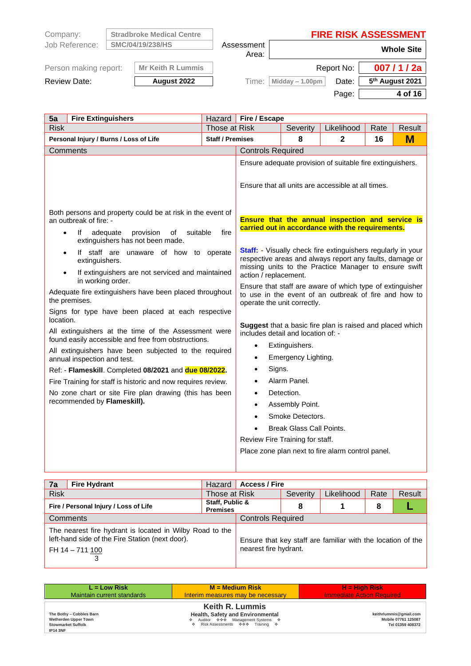| Company:              | <b>Stradbroke Medical Centre</b> |                     | <b>FIRE RISK ASSESSMENT</b> |            |                             |
|-----------------------|----------------------------------|---------------------|-----------------------------|------------|-----------------------------|
| Job Reference:        | SMC/04/19/238/HS                 | Assessment<br>Area: | <b>Whole Site</b>           |            |                             |
| Person making report: | <b>Mr Keith R Lummis</b>         |                     |                             | Report No: | 007/1/2a                    |
| Review Date:          | August 2022                      | Time:               | Midday - 1.00pm             | Date:      | 5 <sup>th</sup> August 2021 |
|                       |                                  |                     |                             | Page:      | 4 of 16                     |

| 5a<br><b>Fire Extinguishers</b>                                                                                                                                                                                                                                                                                                                                                                                                                                                                                                                                                                                                                                                                | Hazard                                                                                                                                                                                                                                                                                                                                                                                                                                                                                                                                                                                                                                                                                                                                                                | Fire / Escape                   |                                 |                                                   |      |        |  |  |  |
|------------------------------------------------------------------------------------------------------------------------------------------------------------------------------------------------------------------------------------------------------------------------------------------------------------------------------------------------------------------------------------------------------------------------------------------------------------------------------------------------------------------------------------------------------------------------------------------------------------------------------------------------------------------------------------------------|-----------------------------------------------------------------------------------------------------------------------------------------------------------------------------------------------------------------------------------------------------------------------------------------------------------------------------------------------------------------------------------------------------------------------------------------------------------------------------------------------------------------------------------------------------------------------------------------------------------------------------------------------------------------------------------------------------------------------------------------------------------------------|---------------------------------|---------------------------------|---------------------------------------------------|------|--------|--|--|--|
| <b>Risk</b>                                                                                                                                                                                                                                                                                                                                                                                                                                                                                                                                                                                                                                                                                    | Those at Risk                                                                                                                                                                                                                                                                                                                                                                                                                                                                                                                                                                                                                                                                                                                                                         |                                 | Severity                        | Likelihood                                        | Rate | Result |  |  |  |
| Personal Injury / Burns / Loss of Life                                                                                                                                                                                                                                                                                                                                                                                                                                                                                                                                                                                                                                                         | <b>Staff / Premises</b>                                                                                                                                                                                                                                                                                                                                                                                                                                                                                                                                                                                                                                                                                                                                               |                                 | 8                               | $\mathbf{2}$                                      | 16   | M      |  |  |  |
| Comments                                                                                                                                                                                                                                                                                                                                                                                                                                                                                                                                                                                                                                                                                       |                                                                                                                                                                                                                                                                                                                                                                                                                                                                                                                                                                                                                                                                                                                                                                       | <b>Controls Required</b>        |                                 |                                                   |      |        |  |  |  |
| Both persons and property could be at risk in the event of<br>an outbreak of fire: -<br>suitable<br>provision<br>of<br>lf<br>adequate<br>$\bullet$<br>extinguishers has not been made.<br>If staff are unaware of how to operate<br>extinguishers.<br>If extinguishers are not serviced and maintained<br>$\bullet$<br>in working order.<br>Adequate fire extinguishers have been placed throughout<br>the premises.<br>Signs for type have been placed at each respective<br>location.<br>All extinguishers at the time of the Assessment were<br>found easily accessible and free from obstructions.<br>All extinguishers have been subjected to the required<br>annual inspection and test. | Ensure adequate provision of suitable fire extinguishers.<br>Ensure that all units are accessible at all times.<br>Ensure that the annual inspection and service is<br>carried out in accordance with the requirements.<br><b>Staff:</b> Visually check fire extinguishers regularly in your<br>respective areas and always report any faults, damage or<br>missing units to the Practice Manager to ensure swift<br>action / replacement.<br>Ensure that staff are aware of which type of extinguisher<br>to use in the event of an outbreak of fire and how to<br>operate the unit correctly.<br>Suggest that a basic fire plan is raised and placed which<br>includes detail and location of: -<br>Extinguishers.<br>$\bullet$<br>Emergency Lighting.<br>$\bullet$ |                                 |                                 |                                                   |      |        |  |  |  |
| Ref: - Flameskill. Completed 08/2021 and due 08/2022.                                                                                                                                                                                                                                                                                                                                                                                                                                                                                                                                                                                                                                          |                                                                                                                                                                                                                                                                                                                                                                                                                                                                                                                                                                                                                                                                                                                                                                       | Signs.<br>$\bullet$             |                                 |                                                   |      |        |  |  |  |
| Fire Training for staff is historic and now requires review.                                                                                                                                                                                                                                                                                                                                                                                                                                                                                                                                                                                                                                   |                                                                                                                                                                                                                                                                                                                                                                                                                                                                                                                                                                                                                                                                                                                                                                       | $\bullet$                       | Alarm Panel.                    |                                                   |      |        |  |  |  |
| No zone chart or site Fire plan drawing (this has been<br>recommended by Flameskill).                                                                                                                                                                                                                                                                                                                                                                                                                                                                                                                                                                                                          |                                                                                                                                                                                                                                                                                                                                                                                                                                                                                                                                                                                                                                                                                                                                                                       | $\bullet$                       | Detection.                      |                                                   |      |        |  |  |  |
|                                                                                                                                                                                                                                                                                                                                                                                                                                                                                                                                                                                                                                                                                                |                                                                                                                                                                                                                                                                                                                                                                                                                                                                                                                                                                                                                                                                                                                                                                       | $\bullet$                       | Assembly Point.                 |                                                   |      |        |  |  |  |
|                                                                                                                                                                                                                                                                                                                                                                                                                                                                                                                                                                                                                                                                                                |                                                                                                                                                                                                                                                                                                                                                                                                                                                                                                                                                                                                                                                                                                                                                                       | $\bullet$                       | Smoke Detectors.                |                                                   |      |        |  |  |  |
|                                                                                                                                                                                                                                                                                                                                                                                                                                                                                                                                                                                                                                                                                                |                                                                                                                                                                                                                                                                                                                                                                                                                                                                                                                                                                                                                                                                                                                                                                       |                                 | <b>Break Glass Call Points.</b> |                                                   |      |        |  |  |  |
|                                                                                                                                                                                                                                                                                                                                                                                                                                                                                                                                                                                                                                                                                                |                                                                                                                                                                                                                                                                                                                                                                                                                                                                                                                                                                                                                                                                                                                                                                       | Review Fire Training for staff. |                                 |                                                   |      |        |  |  |  |
|                                                                                                                                                                                                                                                                                                                                                                                                                                                                                                                                                                                                                                                                                                |                                                                                                                                                                                                                                                                                                                                                                                                                                                                                                                                                                                                                                                                                                                                                                       |                                 |                                 | Place zone plan next to fire alarm control panel. |      |        |  |  |  |

| $\overline{7a}$                       | <b>Fire Hydrant</b>                                                                                                            | Hazard                             | <b>Access / Fire</b>     |          |                                                             |      |        |  |  |
|---------------------------------------|--------------------------------------------------------------------------------------------------------------------------------|------------------------------------|--------------------------|----------|-------------------------------------------------------------|------|--------|--|--|
| <b>Risk</b>                           |                                                                                                                                | Those at Risk                      |                          | Severity | Likelihood                                                  | Rate | Result |  |  |
| Fire / Personal Injury / Loss of Life |                                                                                                                                | Staff, Public &<br><b>Premises</b> | 8<br>8                   |          |                                                             |      |        |  |  |
| Comments                              |                                                                                                                                |                                    | <b>Controls Required</b> |          |                                                             |      |        |  |  |
|                                       | The nearest fire hydrant is located in Wilby Road to the<br>left-hand side of the Fire Station (next door).<br>FH 14 - 711 100 |                                    | nearest fire hydrant.    |          | Ensure that key staff are familiar with the location of the |      |        |  |  |

| $L = Low Risk$                                                                                   | $M = Medium Risk$                                                                                                                     | $H = High Risk$                                                   |
|--------------------------------------------------------------------------------------------------|---------------------------------------------------------------------------------------------------------------------------------------|-------------------------------------------------------------------|
| Maintain current standards                                                                       | Interim measures may be necessary                                                                                                     | <b>Immediate Action Required</b>                                  |
| The Bothy - Cobbles Barn<br>Wetherden Upper Town<br><b>Stowmarket Suffolk</b><br><b>IP14 3NF</b> | <b>Keith R. Lummis</b><br>Health, Safety and Environmental<br>❖ Auditor ��� Management Systems �<br>♦ Risk Assessments ♦ ♦ Training ♦ | keithrlummis@gmail.com<br>Mobile 07761 125087<br>Tel 01359 408372 |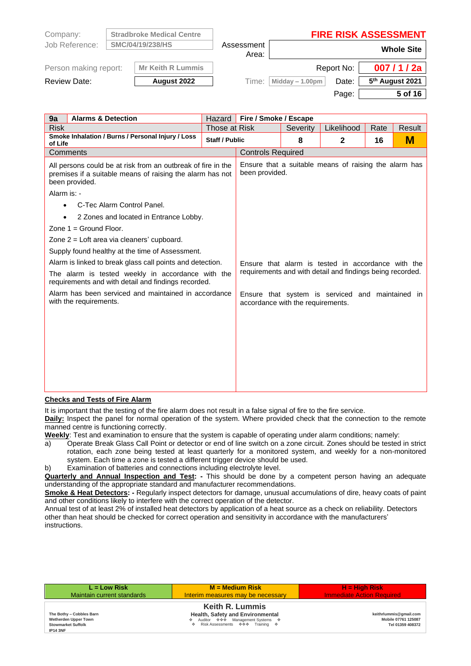| Company:              | <b>Stradbroke Medical Centre</b> |                     | <b>FIRE RISK ASSESSMENT</b> |                   |                             |  |
|-----------------------|----------------------------------|---------------------|-----------------------------|-------------------|-----------------------------|--|
| Job Reference:        | SMC/04/19/238/HS                 | Assessment<br>Area: |                             | <b>Whole Site</b> |                             |  |
| Person making report: | <b>Mr Keith R Lummis</b>         |                     |                             | Report No:        | 007/1/2a                    |  |
| <b>Review Date:</b>   | August 2022                      | Time:               | Midday $-1.00$ pm           | Date:             | 5 <sup>th</sup> August 2021 |  |
|                       |                                  |                     |                             | Page:             | 5 of 16                     |  |

| 9a<br><b>Alarms &amp; Detection</b>                                                                                                         |                       | Hazard        | Fire / Smoke / Escape                                                                 |              |                                                       |      |        |  |
|---------------------------------------------------------------------------------------------------------------------------------------------|-----------------------|---------------|---------------------------------------------------------------------------------------|--------------|-------------------------------------------------------|------|--------|--|
| <b>Risk</b>                                                                                                                                 |                       | Those at Risk |                                                                                       | Severity     | Likelihood                                            | Rate | Result |  |
| Smoke Inhalation / Burns / Personal Injury / Loss<br>of Life                                                                                | <b>Staff / Public</b> |               | 8                                                                                     | $\mathbf{2}$ | 16                                                    | M    |        |  |
| Comments                                                                                                                                    |                       |               | <b>Controls Required</b>                                                              |              |                                                       |      |        |  |
| All persons could be at risk from an outbreak of fire in the<br>premises if a suitable means of raising the alarm has not<br>been provided. |                       |               | been provided.                                                                        |              | Ensure that a suitable means of raising the alarm has |      |        |  |
| Alarm is: -                                                                                                                                 |                       |               |                                                                                       |              |                                                       |      |        |  |
| C-Tec Alarm Control Panel.<br>$\bullet$                                                                                                     |                       |               |                                                                                       |              |                                                       |      |        |  |
| 2 Zones and located in Entrance Lobby.<br>$\bullet$                                                                                         |                       |               |                                                                                       |              |                                                       |      |        |  |
| Zone $1 =$ Ground Floor.                                                                                                                    |                       |               |                                                                                       |              |                                                       |      |        |  |
| Zone 2 = Loft area via cleaners' cupboard.                                                                                                  |                       |               |                                                                                       |              |                                                       |      |        |  |
| Supply found healthy at the time of Assessment.                                                                                             |                       |               |                                                                                       |              |                                                       |      |        |  |
| Alarm is linked to break glass call points and detection.                                                                                   |                       |               | Ensure that alarm is tested in accordance with the                                    |              |                                                       |      |        |  |
| The alarm is tested weekly in accordance with the<br>requirements and with detail and findings recorded.                                    |                       |               | requirements and with detail and findings being recorded.                             |              |                                                       |      |        |  |
| Alarm has been serviced and maintained in accordance<br>with the requirements.                                                              |                       |               | Ensure that system is serviced and maintained in<br>accordance with the requirements. |              |                                                       |      |        |  |
|                                                                                                                                             |                       |               |                                                                                       |              |                                                       |      |        |  |
|                                                                                                                                             |                       |               |                                                                                       |              |                                                       |      |        |  |
|                                                                                                                                             |                       |               |                                                                                       |              |                                                       |      |        |  |
|                                                                                                                                             |                       |               |                                                                                       |              |                                                       |      |        |  |
|                                                                                                                                             |                       |               |                                                                                       |              |                                                       |      |        |  |
|                                                                                                                                             |                       |               |                                                                                       |              |                                                       |      |        |  |
|                                                                                                                                             |                       |               |                                                                                       |              |                                                       |      |        |  |

## **Checks and Tests of Fire Alarm**

It is important that the testing of the fire alarm does not result in a false signal of fire to the fire service.

**Daily:** Inspect the panel for normal operation of the system. Where provided check that the connection to the remote manned centre is functioning correctly.

**Weekly**: Test and examination to ensure that the system is capable of operating under alarm conditions; namely:

- a) Operate Break Glass Call Point or detector or end of line switch on a zone circuit. Zones should be tested in strict rotation, each zone being tested at least quarterly for a monitored system, and weekly for a non-monitored system. Each time a zone is tested a different trigger device should be used.
- b) Examination of batteries and connections including electrolyte level.

**Quarterly and Annual Inspection and Test: -** This should be done by a competent person having an adequate understanding of the appropriate standard and manufacturer recommendations.

**Smoke & Heat Detectors: -** Regularly inspect detectors for damage, unusual accumulations of dire, heavy coats of paint and other conditions likely to interfere with the correct operation of the detector.

Annual test of at least 2% of installed heat detectors by application of a heat source as a check on reliability. Detectors other than heat should be checked for correct operation and sensitivity in accordance with the manufacturers' instructions.

| $L = Low Risk$                                                                                   | $M = Medium Risk$                                                                                                                     | $H = High Risk$                                                   |
|--------------------------------------------------------------------------------------------------|---------------------------------------------------------------------------------------------------------------------------------------|-------------------------------------------------------------------|
| Maintain current standards                                                                       | Interim measures may be necessary                                                                                                     | <b>Immediate Action Required</b>                                  |
| The Bothy - Cobbles Barn<br>Wetherden Upper Town<br><b>Stowmarket Suffolk</b><br><b>IP14 3NF</b> | <b>Keith R. Lummis</b><br>Health, Safety and Environmental<br>❖ Auditor ��� Management Systems ❖<br>♦ Risk Assessments ♦ ♦ Training ♦ | keithrlummis@gmail.com<br>Mobile 07761 125087<br>Tel 01359 408372 |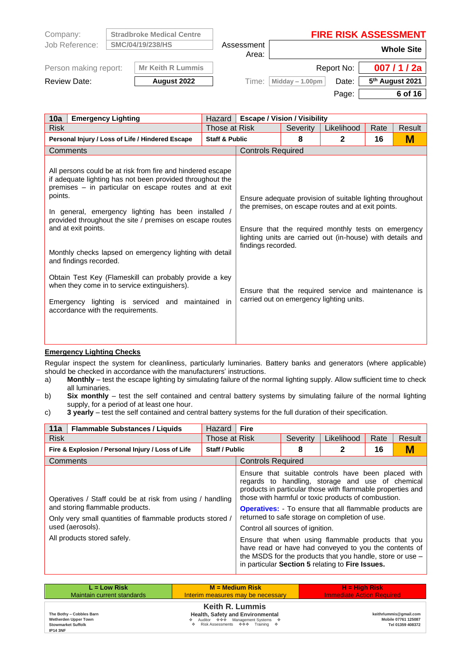| Company:              | <b>Stradbroke Medical Centre</b> |            | <b>FIRE RISK ASSESSMENT</b> |            |                             |  |
|-----------------------|----------------------------------|------------|-----------------------------|------------|-----------------------------|--|
| Job Reference:        | SMC/04/19/238/HS                 | Assessment | <b>Whole Site</b>           |            |                             |  |
|                       |                                  | Area:      |                             |            |                             |  |
| Person making report: | <b>Mr Keith R Lummis</b>         |            |                             | Report No: | 007/1/2a                    |  |
| <b>Review Date:</b>   | August 2022                      | Time:      | Midday $-1.00$ pm           | Date:      | 5 <sup>th</sup> August 2021 |  |
|                       |                                  |            |                             | Page:      | 6 of 16                     |  |

| 10a<br><b>Emergency Lighting</b>                                                                                                                                                                                                                                                                                                                                                                                                                                                                                                                                                                              | Hazard                    | <b>Escape / Vision / Visibility</b> |          |                                                                                                                                                                                                                                                                                                                                         |      |        |  |
|---------------------------------------------------------------------------------------------------------------------------------------------------------------------------------------------------------------------------------------------------------------------------------------------------------------------------------------------------------------------------------------------------------------------------------------------------------------------------------------------------------------------------------------------------------------------------------------------------------------|---------------------------|-------------------------------------|----------|-----------------------------------------------------------------------------------------------------------------------------------------------------------------------------------------------------------------------------------------------------------------------------------------------------------------------------------------|------|--------|--|
| <b>Risk</b>                                                                                                                                                                                                                                                                                                                                                                                                                                                                                                                                                                                                   | Those at Risk             |                                     | Severity | Likelihood                                                                                                                                                                                                                                                                                                                              | Rate | Result |  |
| Personal Injury / Loss of Life / Hindered Escape                                                                                                                                                                                                                                                                                                                                                                                                                                                                                                                                                              | <b>Staff &amp; Public</b> |                                     | 8        | $\mathbf{2}$                                                                                                                                                                                                                                                                                                                            | 16   | М      |  |
| Comments                                                                                                                                                                                                                                                                                                                                                                                                                                                                                                                                                                                                      |                           | <b>Controls Required</b>            |          |                                                                                                                                                                                                                                                                                                                                         |      |        |  |
| All persons could be at risk from fire and hindered escape<br>if adequate lighting has not been provided throughout the<br>premises – in particular on escape routes and at exit<br>points.<br>In general, emergency lighting has been installed<br>provided throughout the site / premises on escape routes<br>and at exit points.<br>Monthly checks lapsed on emergency lighting with detail<br>and findings recorded.<br>Obtain Test Key (Flameskill can probably provide a key<br>when they come in to service extinguishers).<br>Emergency lighting is serviced and<br>accordance with the requirements. | maintained in             | findings recorded.                  |          | Ensure adequate provision of suitable lighting throughout<br>the premises, on escape routes and at exit points.<br>Ensure that the required monthly tests on emergency<br>lighting units are carried out (in-house) with details and<br>Ensure that the required service and maintenance is<br>carried out on emergency lighting units. |      |        |  |

## **Emergency Lighting Checks**

Regular inspect the system for cleanliness, particularly luminaries. Battery banks and generators (where applicable) should be checked in accordance with the manufacturers' instructions.

- a) **Monthly** test the escape lighting by simulating failure of the normal lighting supply. Allow sufficient time to check all luminaries.
- b) **Six monthly** test the self contained and central battery systems by simulating failure of the normal lighting supply, for a period of at least one hour.
- c) **3 yearly** test the self contained and central battery systems for the full duration of their specification.

| 11a         | <b>Flammable Substances / Liquids</b>                                                                                                                                                                        | Hazard                | <b>Fire</b>                      |          |                                                                                                                                                                                                                                                                                                                                                                                                                                                                                                                                                                                  |      |        |
|-------------|--------------------------------------------------------------------------------------------------------------------------------------------------------------------------------------------------------------|-----------------------|----------------------------------|----------|----------------------------------------------------------------------------------------------------------------------------------------------------------------------------------------------------------------------------------------------------------------------------------------------------------------------------------------------------------------------------------------------------------------------------------------------------------------------------------------------------------------------------------------------------------------------------------|------|--------|
| <b>Risk</b> |                                                                                                                                                                                                              | Those at Risk         |                                  | Severity | Likelihood                                                                                                                                                                                                                                                                                                                                                                                                                                                                                                                                                                       | Rate | Result |
|             | Fire & Explosion / Personal Injury / Loss of Life                                                                                                                                                            | <b>Staff / Public</b> |                                  | 8        | 2                                                                                                                                                                                                                                                                                                                                                                                                                                                                                                                                                                                | 16   | М      |
|             | Comments                                                                                                                                                                                                     |                       | <b>Controls Required</b>         |          |                                                                                                                                                                                                                                                                                                                                                                                                                                                                                                                                                                                  |      |        |
|             | Operatives / Staff could be at risk from using / handling<br>and storing flammable products.<br>Only very small quantities of flammable products stored /<br>used (aerosols).<br>All products stored safely. |                       | Control all sources of ignition. |          | Ensure that suitable controls have been placed with<br>regards to handling, storage and use of chemical<br>products in particular those with flammable properties and<br>those with harmful or toxic products of combustion.<br><b>Operatives:</b> - To ensure that all flammable products are<br>returned to safe storage on completion of use.<br>Ensure that when using flammable products that you<br>have read or have had conveyed to you the contents of<br>the MSDS for the products that you handle, store or use -<br>in particular Section 5 relating to Fire Issues. |      |        |

| $L = Low Risk$                                                                                   | $M = Medium Risk$                                                                                                                      | $H = High Risk$                                                   |
|--------------------------------------------------------------------------------------------------|----------------------------------------------------------------------------------------------------------------------------------------|-------------------------------------------------------------------|
| Maintain current standards                                                                       | Interim measures may be necessary                                                                                                      | <b>Immediate Action Required</b>                                  |
| The Bothy - Cobbles Barn<br>Wetherden Upper Town<br><b>Stowmarket Suffolk</b><br><b>IP14 3NF</b> | <b>Keith R. Lummis</b><br>Health, Safety and Environmental<br>❖ Auditor ��� Management Systems �<br>♦ Risk Assessments ♦••• Training ♦ | keithrlummis@gmail.com<br>Mobile 07761 125087<br>Tel 01359 408372 |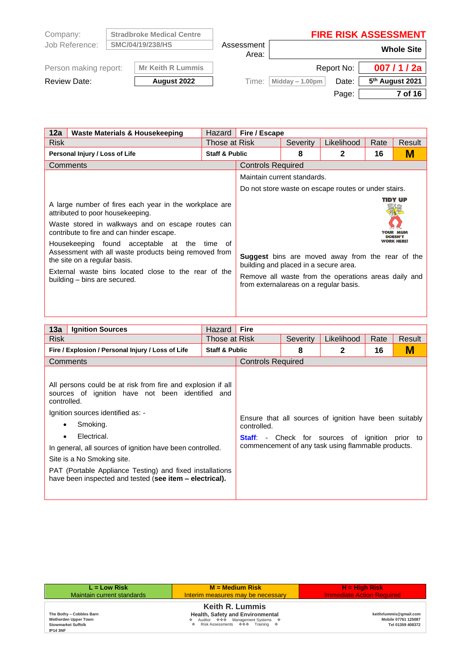| Company:              | <b>Stradbroke Medical Centre</b> |                     | <b>FIRE RISK ASSESSMENT</b> |            |                             |  |
|-----------------------|----------------------------------|---------------------|-----------------------------|------------|-----------------------------|--|
| Job Reference:        | SMC/04/19/238/HS                 | Assessment<br>Area: | <b>Whole Site</b>           |            |                             |  |
| Person making report: | <b>Mr Keith R Lummis</b>         |                     |                             | Report No: | 007/1/2a                    |  |
| <b>Review Date:</b>   | August 2022                      | Time:               | Midday $-1.00$ pm           | Date:      | 5 <sup>th</sup> August 2021 |  |
|                       |                                  |                     |                             | Page:      | 7 of 16                     |  |

| 12a<br>Waste Materials & Housekeeping                                                                                                                                                                                                                                                                                                                                                                                 |                           | Fire / Escape<br>Hazard                                                         |          |                                                                                                                 |      |         |
|-----------------------------------------------------------------------------------------------------------------------------------------------------------------------------------------------------------------------------------------------------------------------------------------------------------------------------------------------------------------------------------------------------------------------|---------------------------|---------------------------------------------------------------------------------|----------|-----------------------------------------------------------------------------------------------------------------|------|---------|
| <b>Risk</b>                                                                                                                                                                                                                                                                                                                                                                                                           | Those at Risk             |                                                                                 | Severity | Likelihood                                                                                                      | Rate | Result  |
| Personal Injury / Loss of Life                                                                                                                                                                                                                                                                                                                                                                                        | <b>Staff &amp; Public</b> |                                                                                 | 8        | $\mathbf{2}$                                                                                                    | 16   | М       |
| Comments                                                                                                                                                                                                                                                                                                                                                                                                              |                           | <b>Controls Required</b>                                                        |          |                                                                                                                 |      |         |
|                                                                                                                                                                                                                                                                                                                                                                                                                       |                           | Maintain current standards.                                                     |          |                                                                                                                 |      |         |
|                                                                                                                                                                                                                                                                                                                                                                                                                       |                           |                                                                                 |          | Do not store waste on escape routes or under stairs.                                                            |      |         |
| A large number of fires each year in the workplace are<br>attributed to poor housekeeping.<br>Waste stored in walkways and on escape routes can<br>contribute to fire and can hinder escape.<br>Housekeeping found acceptable at the<br>Assessment with all waste products being removed from<br>the site on a regular basis.<br>External waste bins located close to the rear of the<br>building – bins are secured. | time<br>of                | building and placed in a secure area.<br>from externalareas on a regular basis. |          | <b>Suggest</b> bins are moved away from the rear of the<br>Remove all waste from the operations areas daily and |      | TIDY UP |

| 13a<br><b>Ignition Sources</b>                                                                                                                                                                                                                                                                                                                                                                                             | Hazard                    | <b>Fire</b>              |          |                                                                                                                                                              |      |          |
|----------------------------------------------------------------------------------------------------------------------------------------------------------------------------------------------------------------------------------------------------------------------------------------------------------------------------------------------------------------------------------------------------------------------------|---------------------------|--------------------------|----------|--------------------------------------------------------------------------------------------------------------------------------------------------------------|------|----------|
| <b>Risk</b>                                                                                                                                                                                                                                                                                                                                                                                                                | Those at Risk             |                          | Severity | Likelihood                                                                                                                                                   | Rate | Result   |
| Fire / Explosion / Personal Injury / Loss of Life                                                                                                                                                                                                                                                                                                                                                                          | <b>Staff &amp; Public</b> |                          | 8        | $\mathbf{2}$                                                                                                                                                 | 16   | М        |
| Comments                                                                                                                                                                                                                                                                                                                                                                                                                   |                           | <b>Controls Required</b> |          |                                                                                                                                                              |      |          |
| All persons could be at risk from fire and explosion if all<br>sources of ignition have not been identified and<br>controlled.<br>Ignition sources identified as: -<br>Smoking.<br>٠<br>Electrical.<br>٠<br>In general, all sources of ignition have been controlled.<br>Site is a No Smoking site.<br>PAT (Portable Appliance Testing) and fixed installations<br>have been inspected and tested (see item – electrical). |                           | controlled.              |          | Ensure that all sources of ignition have been suitably<br><b>Staff</b> - Check for sources of ignition<br>commencement of any task using flammable products. |      | prior to |

| $L = Low Risk$                                                                                   | $M = Medium Risk$                                                                                                                     | $H = High Risk$                                                   |
|--------------------------------------------------------------------------------------------------|---------------------------------------------------------------------------------------------------------------------------------------|-------------------------------------------------------------------|
| Maintain current standards                                                                       | Interim measures may be necessary                                                                                                     | <b>Immediate Action Required</b>                                  |
| The Bothy - Cobbles Barn<br>Wetherden Upper Town<br><b>Stowmarket Suffolk</b><br><b>IP14 3NF</b> | <b>Keith R. Lummis</b><br>Health, Safety and Environmental<br>❖ Auditor ��� Management Systems �<br>♦ Risk Assessments • ♦ Training • | keithrlummis@gmail.com<br>Mobile 07761 125087<br>Tel 01359 408372 |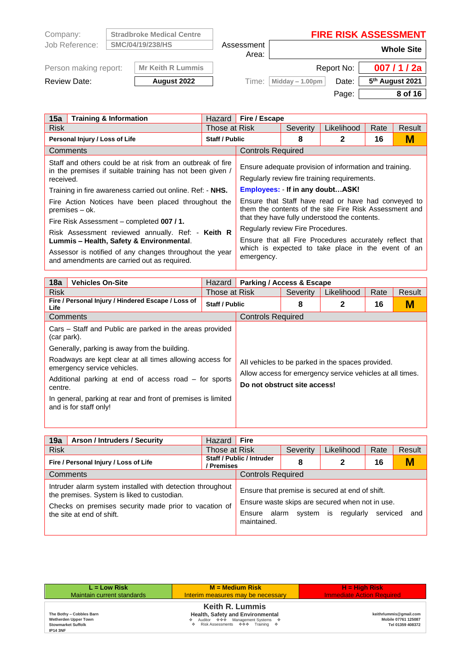| Company:              | <b>Stradbroke Medical Centre</b> |                     | <b>FIRE RISK ASSESSMENT</b> |            |                             |  |
|-----------------------|----------------------------------|---------------------|-----------------------------|------------|-----------------------------|--|
| Job Reference:        | SMC/04/19/238/HS                 | Assessment<br>Area: |                             |            | <b>Whole Site</b>           |  |
| Person making report: | <b>Mr Keith R Lummis</b>         |                     |                             | Report No: | 007/1/2a                    |  |
| <b>Review Date:</b>   | August 2022                      | Time:               | Midday $-1.00$ pm           | Date:      | 5 <sup>th</sup> August 2021 |  |
|                       |                                  |                     |                             | Page:      | 8 of 16                     |  |

L.

| 15a<br><b>Training &amp; Information</b>                                                                                                                                                                                                                                                                                                                                                                                                                                                                                            | Hazard                                                                                     | Fire / Escape            |                                                                                                                                                                                                                                                                                                                                                                                           |            |      |        |
|-------------------------------------------------------------------------------------------------------------------------------------------------------------------------------------------------------------------------------------------------------------------------------------------------------------------------------------------------------------------------------------------------------------------------------------------------------------------------------------------------------------------------------------|--------------------------------------------------------------------------------------------|--------------------------|-------------------------------------------------------------------------------------------------------------------------------------------------------------------------------------------------------------------------------------------------------------------------------------------------------------------------------------------------------------------------------------------|------------|------|--------|
| <b>Risk</b>                                                                                                                                                                                                                                                                                                                                                                                                                                                                                                                         | Those at Risk                                                                              |                          | Severity                                                                                                                                                                                                                                                                                                                                                                                  | Likelihood | Rate | Result |
| Personal Injury / Loss of Life                                                                                                                                                                                                                                                                                                                                                                                                                                                                                                      | <b>Staff / Public</b>                                                                      |                          | 8                                                                                                                                                                                                                                                                                                                                                                                         | 2          | 16   | М      |
| Comments                                                                                                                                                                                                                                                                                                                                                                                                                                                                                                                            |                                                                                            | <b>Controls Required</b> |                                                                                                                                                                                                                                                                                                                                                                                           |            |      |        |
| Staff and others could be at risk from an outbreak of fire<br>in the premises if suitable training has not been given /<br>received.<br>Training in fire awareness carried out online. Ref: - NHS.<br>Fire Action Notices have been placed throughout the<br>premises – ok.<br>Fire Risk Assessment – completed 007 / 1.<br>Risk Assessment reviewed annually. Ref: - Keith R<br>Lummis - Health, Safety & Environmental.<br>Assessor is notified of any changes throughout the year<br>and amendments are carried out as required. | <b>Employees: - If in any doubtASK!</b><br>Regularly review Fire Procedures.<br>emergency. |                          | Ensure adequate provision of information and training.<br>Regularly review fire training requirements.<br>Ensure that Staff have read or have had conveyed to<br>them the contents of the site Fire Risk Assessment and<br>that they have fully understood the contents.<br>Ensure that all Fire Procedures accurately reflect that<br>which is expected to take place in the event of an |            |      |        |

| 18a<br><b>Vehicles On-Site</b>                                                          | Hazard                | <b>Parking / Access &amp; Escape</b>                                                                           |          |            |      |        |  |
|-----------------------------------------------------------------------------------------|-----------------------|----------------------------------------------------------------------------------------------------------------|----------|------------|------|--------|--|
| <b>Risk</b>                                                                             | Those at Risk         |                                                                                                                | Severity | Likelihood | Rate | Result |  |
| Fire / Personal Injury / Hindered Escape / Loss of<br>Life                              | <b>Staff / Public</b> |                                                                                                                | 8        | 2          | 16   | м      |  |
| Comments                                                                                |                       | <b>Controls Required</b>                                                                                       |          |            |      |        |  |
| Cars – Staff and Public are parked in the areas provided<br>(car park).                 |                       |                                                                                                                |          |            |      |        |  |
| Generally, parking is away from the building.                                           |                       |                                                                                                                |          |            |      |        |  |
| Roadways are kept clear at all times allowing access for<br>emergency service vehicles. |                       | All vehicles to be parked in the spaces provided.<br>Allow access for emergency service vehicles at all times. |          |            |      |        |  |
| Additional parking at end of access road – for sports<br>centre.                        |                       | Do not obstruct site access!                                                                                   |          |            |      |        |  |
| In general, parking at rear and front of premises is limited<br>and is for staff only!  |                       |                                                                                                                |          |            |      |        |  |
|                                                                                         |                       |                                                                                                                |          |            |      |        |  |

| 19a<br><b>Arson / Intruders / Security</b>                                                                                                                                                     | Hazard        | <b>Fire</b>                               |           |                                                                                                                 |          |        |
|------------------------------------------------------------------------------------------------------------------------------------------------------------------------------------------------|---------------|-------------------------------------------|-----------|-----------------------------------------------------------------------------------------------------------------|----------|--------|
| <b>Risk</b>                                                                                                                                                                                    | Those at Risk |                                           | Severity  | Likelihood                                                                                                      | Rate     | Result |
| Fire / Personal Injury / Loss of Life<br>/ Premises                                                                                                                                            |               | Staff / Public / Intruder<br>2<br>16<br>8 |           |                                                                                                                 | M        |        |
| Comments                                                                                                                                                                                       |               | <b>Controls Required</b>                  |           |                                                                                                                 |          |        |
| Intruder alarm system installed with detection throughout<br>the premises. System is liked to custodian.<br>Checks on premises security made prior to vacation of<br>the site at end of shift. |               | alarm<br>Ensure<br>maintained.            | system is | Ensure that premise is secured at end of shift.<br>Ensure waste skips are secured when not in use.<br>regularly | serviced | and    |

| $L = Low Risk$                                                                                   | $M = Medium Risk$                                                                                                                     | $H = High Risk$                                                   |
|--------------------------------------------------------------------------------------------------|---------------------------------------------------------------------------------------------------------------------------------------|-------------------------------------------------------------------|
| Maintain current standards                                                                       | Interim measures may be necessary                                                                                                     | <b>Immediate Action Required</b>                                  |
| The Bothy - Cobbles Barn<br>Wetherden Upper Town<br><b>Stowmarket Suffolk</b><br><b>IP14 3NF</b> | <b>Keith R. Lummis</b><br>Health, Safety and Environmental<br>❖ Auditor ��� Management Systems �<br>♦ Risk Assessments • ♦ Training • | keithrlummis@gmail.com<br>Mobile 07761 125087<br>Tel 01359 408372 |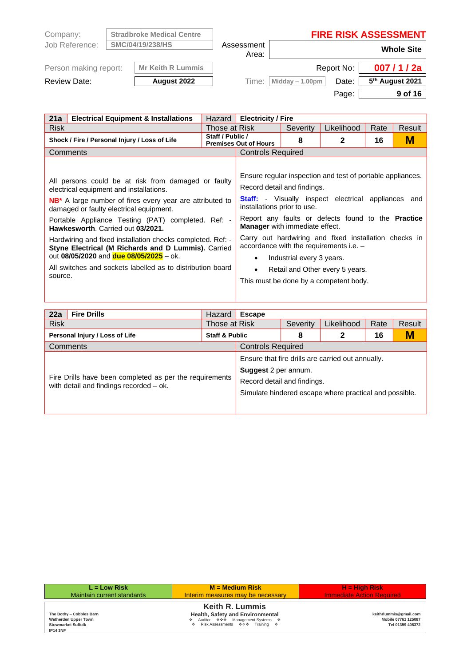| Company:              | <b>Stradbroke Medical Centre</b> |                     | <b>FIRE RISK ASSESSMENT</b> |            |                             |
|-----------------------|----------------------------------|---------------------|-----------------------------|------------|-----------------------------|
| Job Reference:        | SMC/04/19/238/HS                 | Assessment<br>Area: |                             |            | <b>Whole Site</b>           |
| Person making report: | <b>Mr Keith R Lummis</b>         |                     |                             | Report No: | 007/1/2a                    |
| <b>Review Date:</b>   | August 2022                      | Time:               | Midday $-1.00$ pm           | Date:      | 5 <sup>th</sup> August 2021 |
|                       |                                  |                     |                             | Page:      | 9 of 16                     |

L.

| 21a<br><b>Electrical Equipment &amp; Installations</b>                                                                                                                                                                                                                                                                                                                                                                                                                                                                                            | Hazard           | <b>Electricity / Fire</b>                                                                                                     |                           |                                                                                                                                                                                                                                                                                                                                                                        |      |        |
|---------------------------------------------------------------------------------------------------------------------------------------------------------------------------------------------------------------------------------------------------------------------------------------------------------------------------------------------------------------------------------------------------------------------------------------------------------------------------------------------------------------------------------------------------|------------------|-------------------------------------------------------------------------------------------------------------------------------|---------------------------|------------------------------------------------------------------------------------------------------------------------------------------------------------------------------------------------------------------------------------------------------------------------------------------------------------------------------------------------------------------------|------|--------|
| <b>Risk</b>                                                                                                                                                                                                                                                                                                                                                                                                                                                                                                                                       | Those at Risk    |                                                                                                                               | Severity                  | Likelihood                                                                                                                                                                                                                                                                                                                                                             | Rate | Result |
| Shock / Fire / Personal Injury / Loss of Life                                                                                                                                                                                                                                                                                                                                                                                                                                                                                                     | Staff / Public / | <b>Premises Out of Hours</b>                                                                                                  | 8                         | $\mathbf{2}$                                                                                                                                                                                                                                                                                                                                                           | 16   | М      |
| Comments                                                                                                                                                                                                                                                                                                                                                                                                                                                                                                                                          |                  | <b>Controls Required</b>                                                                                                      |                           |                                                                                                                                                                                                                                                                                                                                                                        |      |        |
| All persons could be at risk from damaged or faulty<br>electrical equipment and installations.<br><b>NB</b> * A large number of fires every year are attributed to<br>damaged or faulty electrical equipment.<br>Portable Appliance Testing (PAT) completed. Ref: -<br>Hawkesworth. Carried out 03/2021.<br>Hardwiring and fixed installation checks completed. Ref: -<br>Styne Electrical (M Richards and D Lummis). Carried<br>out 08/05/2020 and due 08/05/2025 - ok.<br>All switches and sockets labelled as to distribution board<br>source. |                  | Record detail and findings.<br>installations prior to use.<br><b>Manager</b> with immediate effect.<br>$\bullet$<br>$\bullet$ | Industrial every 3 years. | Ensure regular inspection and test of portable appliances.<br><b>Staff:</b> - Visually inspect electrical appliances and<br>Report any faults or defects found to the <b>Practice</b><br>Carry out hardwiring and fixed installation checks in<br>accordance with the requirements i.e. -<br>Retail and Other every 5 years.<br>This must be done by a competent body. |      |        |

| 22a         | <b>Fire Drills</b>                                                                                 | Hazard                    | <b>Escape</b>                                              |          |                                                                                                             |      |        |  |
|-------------|----------------------------------------------------------------------------------------------------|---------------------------|------------------------------------------------------------|----------|-------------------------------------------------------------------------------------------------------------|------|--------|--|
| <b>Risk</b> |                                                                                                    | Those at Risk             |                                                            | Severity | Likelihood                                                                                                  | Rate | Result |  |
|             | Personal Injury / Loss of Life                                                                     | <b>Staff &amp; Public</b> |                                                            | 8        | 2                                                                                                           | 16   | M      |  |
|             | Comments                                                                                           |                           | <b>Controls Required</b>                                   |          |                                                                                                             |      |        |  |
|             | Fire Drills have been completed as per the requirements<br>with detail and findings recorded – ok. |                           | <b>Suggest</b> 2 per annum.<br>Record detail and findings. |          | Ensure that fire drills are carried out annually.<br>Simulate hindered escape where practical and possible. |      |        |  |

| $L = Low Risk$                                                                                   | $M = Medium Risk$                                                                                                                     | $H = High Risk$                                                   |
|--------------------------------------------------------------------------------------------------|---------------------------------------------------------------------------------------------------------------------------------------|-------------------------------------------------------------------|
| Maintain current standards                                                                       | Interim measures may be necessary                                                                                                     | <b>Immediate Action Required</b>                                  |
| The Bothy - Cobbles Barn<br>Wetherden Upper Town<br><b>Stowmarket Suffolk</b><br><b>IP14 3NF</b> | <b>Keith R. Lummis</b><br>Health, Safety and Environmental<br>❖ Auditor ��� Management Systems ❖<br>♦ Risk Assessments ♦ ♦ Training ♦ | keithrlummis@gmail.com<br>Mobile 07761 125087<br>Tel 01359 408372 |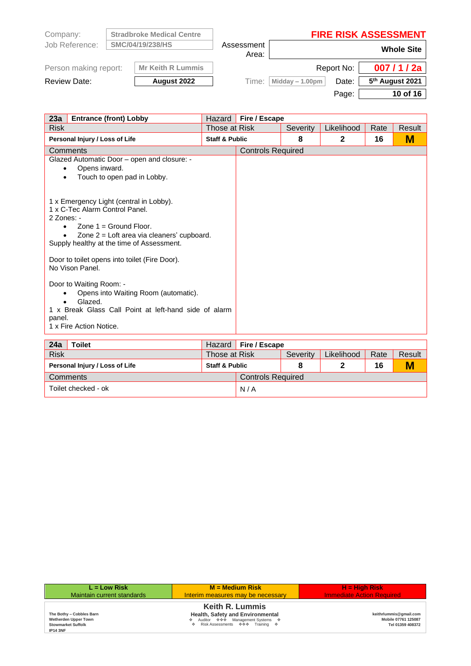| Company:              |                  | <b>Stradbroke Medical Centre</b> |                     | <b>FIRE RISK ASSESSMENT</b> |            |                             |
|-----------------------|------------------|----------------------------------|---------------------|-----------------------------|------------|-----------------------------|
| Job Reference:        | SMC/04/19/238/HS |                                  | Assessment<br>Area: |                             |            | <b>Whole Site</b>           |
| Person making report: |                  | <b>Mr Keith R Lummis</b>         |                     |                             | Report No: | 007/1/2a                    |
| <b>Review Date:</b>   |                  | August 2022                      | Time:               | Midday $-1.00$ pm           | Date:      | 5 <sup>th</sup> August 2021 |
|                       |                  |                                  |                     |                             | Page:      | 10 of 16                    |

| 23a<br><b>Entrance (front) Lobby</b>                                                                                                                                                                                          | Hazard                    | Fire / Escape            |          |              |      |        |
|-------------------------------------------------------------------------------------------------------------------------------------------------------------------------------------------------------------------------------|---------------------------|--------------------------|----------|--------------|------|--------|
| <b>Risk</b>                                                                                                                                                                                                                   | Those at Risk             |                          | Severity | Likelihood   | Rate | Result |
| Personal Injury / Loss of Life                                                                                                                                                                                                | <b>Staff &amp; Public</b> |                          | 8        | $\mathbf{2}$ | 16   | М      |
| Comments                                                                                                                                                                                                                      |                           | <b>Controls Required</b> |          |              |      |        |
| Glazed Automatic Door - open and closure: -<br>Opens inward.<br>$\bullet$<br>Touch to open pad in Lobby.<br>$\bullet$                                                                                                         |                           |                          |          |              |      |        |
| 1 x Emergency Light (central in Lobby).<br>1 x C-Tec Alarm Control Panel.<br>$2$ Zones: -<br>Zone $1 =$ Ground Floor.<br>$\bullet$<br>Zone 2 = Loft area via cleaners' cupboard.<br>Supply healthy at the time of Assessment. |                           |                          |          |              |      |        |
| Door to toilet opens into toilet (Fire Door).<br>No Vison Panel.                                                                                                                                                              |                           |                          |          |              |      |        |
| Door to Waiting Room: -<br>Opens into Waiting Room (automatic).<br>Glazed.<br>1 x Break Glass Call Point at left-hand side of alarm<br>panel.<br>1 x Fire Action Notice.                                                      |                           |                          |          |              |      |        |
| <b>Toilet</b><br>24a                                                                                                                                                                                                          | Hazard                    | Fire / Escape            |          |              |      |        |
| <b>Risk</b>                                                                                                                                                                                                                   | Those at Risk             |                          | Severity | Likelihood   | Rate | Result |
| Personal Injury / Loss of Life                                                                                                                                                                                                | <b>Staff &amp; Public</b> |                          | 8        | 2            | 16   | М      |

| Personal Injury / Loss of Life | <b>Staff &amp; Public</b> |                          |  |  | 16 | M |  |  |
|--------------------------------|---------------------------|--------------------------|--|--|----|---|--|--|
| Comments                       |                           | <b>Controls Required</b> |  |  |    |   |  |  |
| Toilet checked - ok            |                           | N/A                      |  |  |    |   |  |  |

| $L = Low Risk$                                                                                   | $M = Medium Risk$                                                                                                                     | <b>H</b> = High Risk                                              |
|--------------------------------------------------------------------------------------------------|---------------------------------------------------------------------------------------------------------------------------------------|-------------------------------------------------------------------|
| Maintain current standards                                                                       | Interim measures may be necessary                                                                                                     | <b>Immediate Action Required</b>                                  |
| The Bothy - Cobbles Barn<br>Wetherden Upper Town<br><b>Stowmarket Suffolk</b><br><b>IP14 3NF</b> | <b>Keith R. Lummis</b><br>Health, Safety and Environmental<br>❖ Auditor ��� Management Systems �<br>♦ Risk Assessments • ♦ Training • | keithrlummis@gmail.com<br>Mobile 07761 125087<br>Tel 01359 408372 |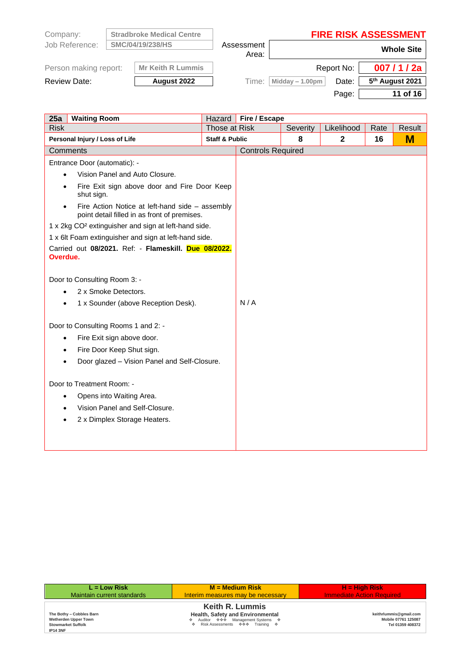| Company:              |                  | <b>Stradbroke Medical Centre</b> |       | <b>FIRE RISK ASSESSMENT</b> |            |                             |  |  |                     |  |                   |
|-----------------------|------------------|----------------------------------|-------|-----------------------------|------------|-----------------------------|--|--|---------------------|--|-------------------|
| Job Reference:        | SMC/04/19/238/HS |                                  |       |                             |            |                             |  |  | Assessment<br>Area: |  | <b>Whole Site</b> |
| Person making report: |                  | <b>Mr Keith R Lummis</b>         |       |                             | Report No: | 007/1/2a                    |  |  |                     |  |                   |
| Review Date:          |                  | August 2022                      | Time: | Midday $-1.00$ pm           | Date:      | 5 <sup>th</sup> August 2021 |  |  |                     |  |                   |
|                       |                  |                                  |       |                             | Page:      | 11 of 16                    |  |  |                     |  |                   |

| 25a<br><b>Waiting Room</b>                                                                                   |                           | Hazard   Fire / Escape   |          |              |      |        |
|--------------------------------------------------------------------------------------------------------------|---------------------------|--------------------------|----------|--------------|------|--------|
| <b>Risk</b>                                                                                                  | Those at Risk             |                          | Severity | Likelihood   | Rate | Result |
| Personal Injury / Loss of Life                                                                               | <b>Staff &amp; Public</b> |                          | 8        | $\mathbf{2}$ | 16   | M      |
| Comments                                                                                                     |                           | <b>Controls Required</b> |          |              |      |        |
| Entrance Door (automatic): -                                                                                 |                           |                          |          |              |      |        |
| Vision Panel and Auto Closure.                                                                               |                           |                          |          |              |      |        |
| Fire Exit sign above door and Fire Door Keep<br>shut sign.                                                   |                           |                          |          |              |      |        |
| Fire Action Notice at left-hand side - assembly<br>$\bullet$<br>point detail filled in as front of premises. |                           |                          |          |              |      |        |
| 1 x 2kg CO <sup>2</sup> extinguisher and sign at left-hand side.                                             |                           |                          |          |              |      |        |
| 1 x 6lt Foam extinguisher and sign at left-hand side.                                                        |                           |                          |          |              |      |        |
| Carried out 08/2021. Ref: - Flameskill. Due 08/2022.<br>Overdue.                                             |                           |                          |          |              |      |        |
| Door to Consulting Room 3: -                                                                                 |                           |                          |          |              |      |        |
| 2 x Smoke Detectors.                                                                                         |                           |                          |          |              |      |        |
| 1 x Sounder (above Reception Desk).                                                                          |                           | N/A                      |          |              |      |        |
| Door to Consulting Rooms 1 and 2: -                                                                          |                           |                          |          |              |      |        |
| Fire Exit sign above door.<br>$\bullet$                                                                      |                           |                          |          |              |      |        |
| Fire Door Keep Shut sign.<br>٠                                                                               |                           |                          |          |              |      |        |
| Door glazed – Vision Panel and Self-Closure.                                                                 |                           |                          |          |              |      |        |
| Door to Treatment Room: -                                                                                    |                           |                          |          |              |      |        |
| Opens into Waiting Area.<br>$\bullet$                                                                        |                           |                          |          |              |      |        |
| Vision Panel and Self-Closure.                                                                               |                           |                          |          |              |      |        |
| 2 x Dimplex Storage Heaters.                                                                                 |                           |                          |          |              |      |        |
|                                                                                                              |                           |                          |          |              |      |        |
|                                                                                                              |                           |                          |          |              |      |        |

| $L = Low Risk$                                                                                          | $M = Medium Risk$                                                                                                                         | $H = High Risk$                                                   |
|---------------------------------------------------------------------------------------------------------|-------------------------------------------------------------------------------------------------------------------------------------------|-------------------------------------------------------------------|
| Maintain current standards                                                                              | Interim measures may be necessary                                                                                                         | <b>Immediate Action Required</b>                                  |
| The Bothy - Cobbles Barn<br><b>Wetherden Upper Town</b><br><b>Stowmarket Suffolk</b><br><b>IP14 3NF</b> | <b>Keith R. Lummis</b><br>Health, Safety and Environmental<br>❖ Auditor ��� Management Systems ❖<br>♦ Risk Assessments • • • Training • • | keithrlummis@gmail.com<br>Mobile 07761 125087<br>Tel 01359 408372 |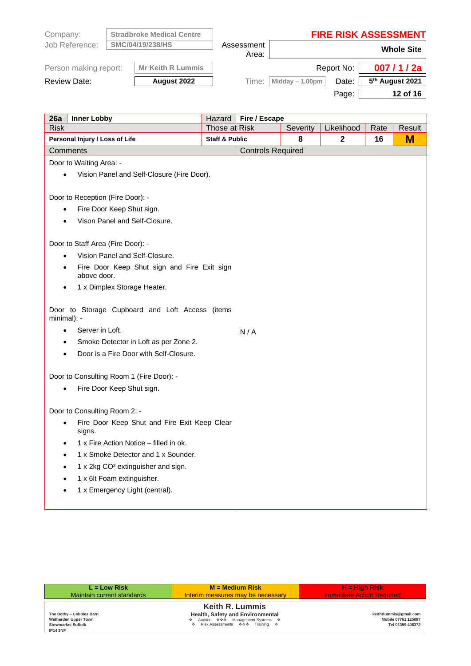| Company:              | <b>Stradbroke Medical Centre</b> |                     | <b>FIRE RISK ASSESSMENT</b> |            |                             |
|-----------------------|----------------------------------|---------------------|-----------------------------|------------|-----------------------------|
| Job Reference:        | <b>SMC/04/19/238/HS</b>          | Assessment<br>Area: |                             |            | <b>Whole Site</b>           |
| Person making report: | <b>Mr Keith R Lummis</b>         |                     |                             | Report No: | 007/1/2a                    |
| <b>Review Date:</b>   | August 2022                      | Time:               | Midday $-1.00$ pm           | Date:      | 5 <sup>th</sup> August 2021 |
|                       |                                  |                     |                             | Page:      | 12 of 16                    |

| <b>Inner Lobby</b><br>26a                                           |                           | Hazard   Fire / Escape   |            |              |        |   |
|---------------------------------------------------------------------|---------------------------|--------------------------|------------|--------------|--------|---|
| <b>Risk</b>                                                         | Those at Risk             | Severity                 | Likelihood | Rate         | Result |   |
| Personal Injury / Loss of Life                                      | <b>Staff &amp; Public</b> |                          | 8          | $\mathbf{2}$ | 16     | M |
| Comments                                                            |                           | <b>Controls Required</b> |            |              |        |   |
| Door to Waiting Area: -                                             |                           |                          |            |              |        |   |
| Vision Panel and Self-Closure (Fire Door).                          |                           |                          |            |              |        |   |
|                                                                     |                           |                          |            |              |        |   |
| Door to Reception (Fire Door): -                                    |                           |                          |            |              |        |   |
| Fire Door Keep Shut sign.<br>$\bullet$                              |                           |                          |            |              |        |   |
| Vison Panel and Self-Closure.                                       |                           |                          |            |              |        |   |
|                                                                     |                           |                          |            |              |        |   |
| Door to Staff Area (Fire Door): -                                   |                           |                          |            |              |        |   |
| Vision Panel and Self-Closure.                                      |                           |                          |            |              |        |   |
| Fire Door Keep Shut sign and Fire Exit sign<br>above door.          |                           |                          |            |              |        |   |
| 1 x Dimplex Storage Heater.                                         |                           |                          |            |              |        |   |
| Door to Storage Cupboard and Loft Access (items<br>minimal): -      |                           |                          |            |              |        |   |
| Server in Loft.                                                     |                           | N/A                      |            |              |        |   |
| Smoke Detector in Loft as per Zone 2.                               |                           |                          |            |              |        |   |
| Door is a Fire Door with Self-Closure.<br>$\bullet$                 |                           |                          |            |              |        |   |
|                                                                     |                           |                          |            |              |        |   |
| Door to Consulting Room 1 (Fire Door): -                            |                           |                          |            |              |        |   |
| Fire Door Keep Shut sign.                                           |                           |                          |            |              |        |   |
|                                                                     |                           |                          |            |              |        |   |
| Door to Consulting Room 2: -                                        |                           |                          |            |              |        |   |
| Fire Door Keep Shut and Fire Exit Keep Clear<br>$\bullet$<br>signs. |                           |                          |            |              |        |   |
| 1 x Fire Action Notice – filled in ok.<br>$\bullet$                 |                           |                          |            |              |        |   |
| 1 x Smoke Detector and 1 x Sounder.<br>$\bullet$                    |                           |                          |            |              |        |   |
| 1 x 2kg CO <sup>2</sup> extinguisher and sign.                      |                           |                          |            |              |        |   |
| 1 x 6lt Foam extinguisher.                                          |                           |                          |            |              |        |   |
| 1 x Emergency Light (central).                                      |                           |                          |            |              |        |   |
|                                                                     |                           |                          |            |              |        |   |

| $L = Low Risk$                                                                                   | $M = Medium Risk$                                                                                                                     | $H = High Risk$                                                   |
|--------------------------------------------------------------------------------------------------|---------------------------------------------------------------------------------------------------------------------------------------|-------------------------------------------------------------------|
| Maintain current standards                                                                       | Interim measures may be necessary                                                                                                     | <b>Immediate Action Required</b>                                  |
| The Bothy - Cobbles Barn<br>Wetherden Upper Town<br><b>Stowmarket Suffolk</b><br><b>IP14 3NF</b> | <b>Keith R. Lummis</b><br>Health, Safety and Environmental<br>❖ Auditor ��� Management Systems ❖<br>♦ Risk Assessments ♦ ♦ Training ♦ | keithrlummis@gmail.com<br>Mobile 07761 125087<br>Tel 01359 408372 |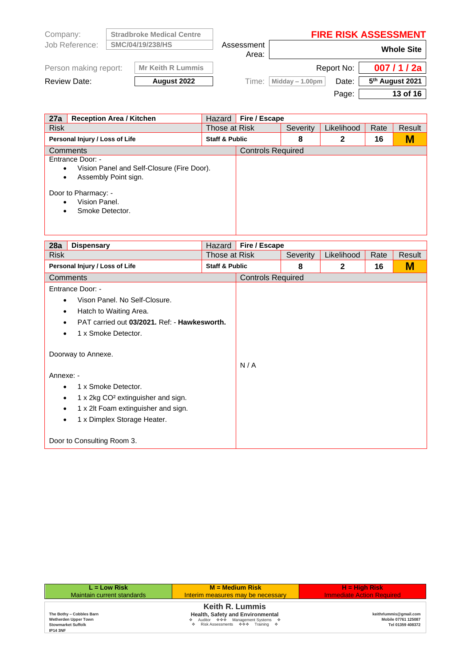| Company:              |                  | <b>Stradbroke Medical Centre</b> |       | <b>FIRE RISK ASSESSMENT</b> |            |                             |                     |  |  |                   |
|-----------------------|------------------|----------------------------------|-------|-----------------------------|------------|-----------------------------|---------------------|--|--|-------------------|
| Job Reference:        | SMC/04/19/238/HS |                                  |       |                             |            |                             | Assessment<br>Area: |  |  | <b>Whole Site</b> |
| Person making report: |                  | <b>Mr Keith R Lummis</b>         |       |                             | Report No: | 007/1/2a                    |                     |  |  |                   |
| <b>Review Date:</b>   |                  | August 2022                      | Time: | Midday $-1.00$ pm           | Date:      | 5 <sup>th</sup> August 2021 |                     |  |  |                   |
|                       |                  |                                  |       |                             | Page:      | 13 of 16                    |                     |  |  |                   |

| 27a<br><b>Reception Area / Kitchen</b>                                                                                                                      | Hazard        | Fire / Escape            |          |            |      |        |
|-------------------------------------------------------------------------------------------------------------------------------------------------------------|---------------|--------------------------|----------|------------|------|--------|
| <b>Risk</b>                                                                                                                                                 | Those at Risk |                          | Severity | Likelihood | Rate | Result |
| <b>Staff &amp; Public</b><br>Personal Injury / Loss of Life                                                                                                 |               |                          | 8        | 2          | 16   | M      |
| Comments                                                                                                                                                    |               | <b>Controls Required</b> |          |            |      |        |
| Entrance Door: -<br>Vision Panel and Self-Closure (Fire Door).<br>٠<br>Assembly Point sign.<br>٠<br>Door to Pharmacy: -<br>Vision Panel.<br>Smoke Detector. |               |                          |          |            |      |        |

| 28a                                          | <b>Dispensary</b>                                                                                                                                                 | Hazard                    | Fire / Escape            |          |              |      |        |
|----------------------------------------------|-------------------------------------------------------------------------------------------------------------------------------------------------------------------|---------------------------|--------------------------|----------|--------------|------|--------|
| <b>Risk</b>                                  |                                                                                                                                                                   | Those at Risk             |                          | Severity | Likelihood   | Rate | Result |
|                                              | Personal Injury / Loss of Life                                                                                                                                    | <b>Staff &amp; Public</b> |                          | 8        | $\mathbf{2}$ | 16   | М      |
|                                              | Comments                                                                                                                                                          |                           | <b>Controls Required</b> |          |              |      |        |
|                                              | Entrance Door: -                                                                                                                                                  |                           |                          |          |              |      |        |
|                                              | Vison Panel, No Self-Closure.                                                                                                                                     |                           |                          |          |              |      |        |
|                                              | Hatch to Waiting Area.                                                                                                                                            |                           |                          |          |              |      |        |
| PAT carried out 03/2021. Ref: - Hawkesworth. |                                                                                                                                                                   |                           |                          |          |              |      |        |
|                                              | 1 x Smoke Detector.                                                                                                                                               |                           |                          |          |              |      |        |
| Annexe: -<br>٠<br>٠<br>$\bullet$             | Doorway to Annexe.<br>1 x Smoke Detector.<br>1 x 2kg CO <sup>2</sup> extinguisher and sign.<br>1 x 2lt Foam extinguisher and sign.<br>1 x Dimplex Storage Heater. |                           | N/A                      |          |              |      |        |
|                                              | Door to Consulting Room 3.                                                                                                                                        |                           |                          |          |              |      |        |

| $L = Low Risk$                                                                                   | $M = Medium Risk$                                                                                                                     | $H = H$ iah Risk                                                  |
|--------------------------------------------------------------------------------------------------|---------------------------------------------------------------------------------------------------------------------------------------|-------------------------------------------------------------------|
| Maintain current standards                                                                       | Interim measures may be necessary                                                                                                     | <b>Immediate Action Required</b>                                  |
| The Bothy - Cobbles Barn<br>Wetherden Upper Town<br><b>Stowmarket Suffolk</b><br><b>IP14 3NF</b> | <b>Keith R. Lummis</b><br>Health, Safety and Environmental<br>♦ Auditor ♦ ♦ Management Systems ♦<br>♦ Risk Assessments ♦ ♦ Training ♦ | keithrlummis@gmail.com<br>Mobile 07761 125087<br>Tel 01359 408372 |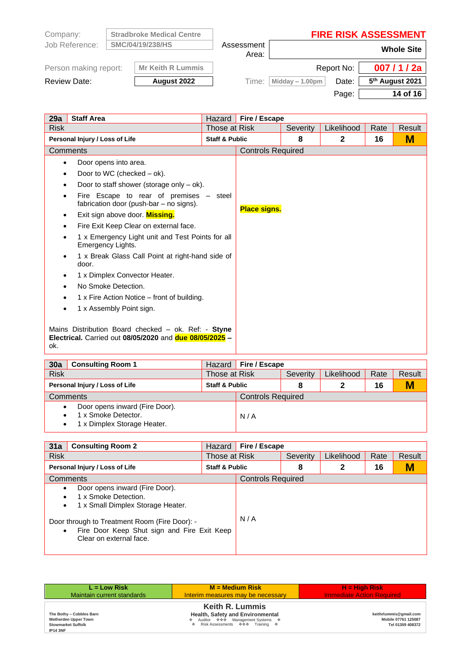| Company:              | <b>Stradbroke Medical Centre</b> |            |                   |            | <b>FIRE RISK ASSESSMENT</b> |
|-----------------------|----------------------------------|------------|-------------------|------------|-----------------------------|
| Job Reference:        | SMC/04/19/238/HS                 | Assessment |                   |            | <b>Whole Site</b>           |
|                       |                                  | Area:      |                   |            |                             |
| Person making report: | <b>Mr Keith R Lummis</b>         |            |                   | Report No: | 007/1/2a                    |
| Review Date:          | August 2022                      | Time:      | Midday $-1.00$ pm | Date:      | 5 <sup>th</sup> August 2021 |
|                       |                                  |            |                   | Page:      | 14 of 16                    |

| 29a         | <b>Staff Area</b>                                                                                                            | Hazard                    | Fire / Escape            |          |              |      |        |
|-------------|------------------------------------------------------------------------------------------------------------------------------|---------------------------|--------------------------|----------|--------------|------|--------|
| <b>Risk</b> |                                                                                                                              | Those at Risk             |                          | Severity | Likelihood   | Rate | Result |
|             | Personal Injury / Loss of Life                                                                                               | <b>Staff &amp; Public</b> |                          | 8        | $\mathbf{2}$ | 16   | M      |
|             | Comments                                                                                                                     |                           | <b>Controls Required</b> |          |              |      |        |
| $\bullet$   | Door opens into area.                                                                                                        |                           |                          |          |              |      |        |
| $\bullet$   | Door to WC (checked $-$ ok).                                                                                                 |                           |                          |          |              |      |        |
|             | Door to staff shower (storage only $-$ ok).                                                                                  |                           |                          |          |              |      |        |
| ٠           | Fire Escape to rear of premises – steel<br>fabrication door (push-bar - no signs).                                           |                           | <b>Place signs.</b>      |          |              |      |        |
| ٠           | Exit sign above door. Missing.                                                                                               |                           |                          |          |              |      |        |
| $\bullet$   | Fire Exit Keep Clear on external face.                                                                                       |                           |                          |          |              |      |        |
|             | 1 x Emergency Light unit and Test Points for all<br>Emergency Lights.                                                        |                           |                          |          |              |      |        |
|             | 1 x Break Glass Call Point at right-hand side of<br>door.                                                                    |                           |                          |          |              |      |        |
|             | 1 x Dimplex Convector Heater.                                                                                                |                           |                          |          |              |      |        |
|             | No Smoke Detection.                                                                                                          |                           |                          |          |              |      |        |
|             | 1 x Fire Action Notice – front of building.                                                                                  |                           |                          |          |              |      |        |
|             | 1 x Assembly Point sign.                                                                                                     |                           |                          |          |              |      |        |
| ok.         | Mains Distribution Board checked - ok. Ref: - Styne<br><b>Electrical.</b> Carried out 08/05/2020 and <b>due 08/05/2025</b> - |                           |                          |          |              |      |        |

| 30a<br><b>Consulting Room 1</b>                                                                   | Hazard                    | Fire / Escape            |          |            |      |        |
|---------------------------------------------------------------------------------------------------|---------------------------|--------------------------|----------|------------|------|--------|
| <b>Risk</b>                                                                                       | Those at Risk             |                          | Severity | Likelihood | Rate | Result |
| Personal Injury / Loss of Life                                                                    | <b>Staff &amp; Public</b> |                          | 8        |            | 16   | M      |
| Comments                                                                                          |                           | <b>Controls Required</b> |          |            |      |        |
| Door opens inward (Fire Door).<br>$\bullet$<br>1 x Smoke Detector.<br>1 x Dimplex Storage Heater. |                           | N/A                      |          |            |      |        |

| 31a<br><b>Consulting Room 2</b>                                                                                                                                                                                             | Hazard                    | Fire / Escape            |          |            |      |        |
|-----------------------------------------------------------------------------------------------------------------------------------------------------------------------------------------------------------------------------|---------------------------|--------------------------|----------|------------|------|--------|
| <b>Risk</b>                                                                                                                                                                                                                 | Those at Risk             |                          | Severity | Likelihood | Rate | Result |
| Personal Injury / Loss of Life                                                                                                                                                                                              | <b>Staff &amp; Public</b> |                          | 8        | 2          | 16   | M      |
| <b>Comments</b>                                                                                                                                                                                                             |                           | <b>Controls Required</b> |          |            |      |        |
| Door opens inward (Fire Door).<br>1 x Smoke Detection.<br>1 x Small Dimplex Storage Heater.<br>٠<br>Door through to Treatment Room (Fire Door): -<br>Fire Door Keep Shut sign and Fire Exit Keep<br>Clear on external face. |                           | N/A                      |          |            |      |        |

| $L = Low Risk$                                                                                   | $M = Medium Risk$                                                                                                                       | $H = High Risk$                                                   |
|--------------------------------------------------------------------------------------------------|-----------------------------------------------------------------------------------------------------------------------------------------|-------------------------------------------------------------------|
| Maintain current standards                                                                       | Interim measures may be necessary                                                                                                       | <b>Immediate Action Required</b>                                  |
| The Bothy - Cobbles Barn<br>Wetherden Upper Town<br><b>Stowmarket Suffolk</b><br><b>IP14 3NF</b> | <b>Keith R. Lummis</b><br>Health, Safety and Environmental<br>❖ Auditor ��� Management Systems �<br>♦ Risk Assessments • • • Training • | keithrlummis@gmail.com<br>Mobile 07761 125087<br>Tel 01359 408372 |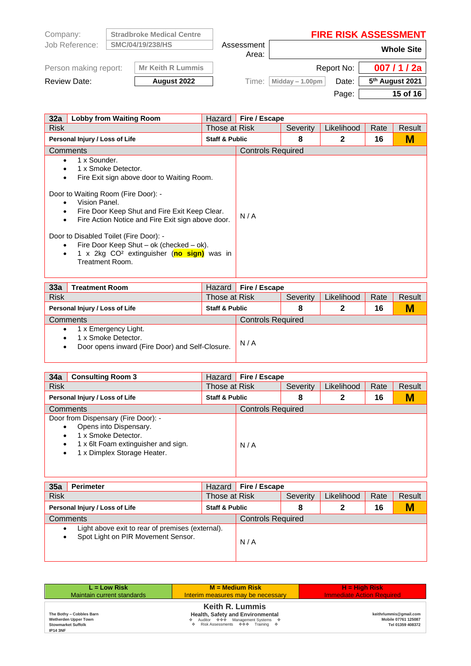| Company:              | <b>Stradbroke Medical Centre</b> |                     |                    |            | <b>FIRE RISK ASSESSMENT</b> |
|-----------------------|----------------------------------|---------------------|--------------------|------------|-----------------------------|
| Job Reference:        | SMC/04/19/238/HS                 | Assessment<br>Area: |                    |            | <b>Whole Site</b>           |
| Person making report: | <b>Mr Keith R Lummis</b>         |                     |                    | Report No: | 007/1/2a                    |
| <b>Review Date:</b>   | August 2022                      | Time:               | Midday $- 1.00$ pm | Date:      | 5 <sup>th</sup> August 2021 |
|                       |                                  |                     |                    | Page:      | 15 of 16                    |

| 32a<br><b>Lobby from Waiting Room</b>                                                                                                                                                                                                                                                                                                                                                                                                            | Hazard                    | Fire / Escape            |          |            |      |        |
|--------------------------------------------------------------------------------------------------------------------------------------------------------------------------------------------------------------------------------------------------------------------------------------------------------------------------------------------------------------------------------------------------------------------------------------------------|---------------------------|--------------------------|----------|------------|------|--------|
| <b>Risk</b>                                                                                                                                                                                                                                                                                                                                                                                                                                      | Those at Risk             |                          | Severity | Likelihood | Rate | Result |
| Personal Injury / Loss of Life                                                                                                                                                                                                                                                                                                                                                                                                                   | <b>Staff &amp; Public</b> |                          | 8        | 2          | 16   | M      |
| Comments                                                                                                                                                                                                                                                                                                                                                                                                                                         |                           | <b>Controls Required</b> |          |            |      |        |
| 1 x Sounder.<br>1 x Smoke Detector.<br>Fire Exit sign above door to Waiting Room.<br>٠<br>Door to Waiting Room (Fire Door): -<br>Vision Panel.<br>Fire Door Keep Shut and Fire Exit Keep Clear.<br>Fire Action Notice and Fire Exit sign above door.<br>$\bullet$<br>Door to Disabled Toilet (Fire Door): -<br>Fire Door Keep Shut – ok (checked – ok).<br>$\bullet$<br>1 x 2kg CO <sup>2</sup> extinguisher (no sign) was in<br>Treatment Room. |                           | N/A                      |          |            |      |        |

| 33a         | Treatment Room                                                                                 | Hazard                    | Fire / Escape            |          |            |      |        |
|-------------|------------------------------------------------------------------------------------------------|---------------------------|--------------------------|----------|------------|------|--------|
| <b>Risk</b> |                                                                                                | Those at Risk             |                          | Severity | Likelihood | Rate | Result |
|             | Personal Injury / Loss of Life                                                                 | <b>Staff &amp; Public</b> |                          | 8        | 2          | 16   | M      |
|             | Comments                                                                                       |                           | <b>Controls Required</b> |          |            |      |        |
|             | 1 x Emergency Light.<br>1 x Smoke Detector.<br>Door opens inward (Fire Door) and Self-Closure. |                           | N/A                      |          |            |      |        |

| 34a<br><b>Consulting Room 3</b>                                                                                                                                                           | Hazard                    | Fire / Escape            |          |            |      |        |
|-------------------------------------------------------------------------------------------------------------------------------------------------------------------------------------------|---------------------------|--------------------------|----------|------------|------|--------|
| <b>Risk</b>                                                                                                                                                                               | Those at Risk             |                          | Severity | Likelihood | Rate | Result |
| Personal Injury / Loss of Life                                                                                                                                                            | <b>Staff &amp; Public</b> |                          | 8        | 2          | 16   | M      |
| Comments                                                                                                                                                                                  |                           | <b>Controls Required</b> |          |            |      |        |
| Door from Dispensary (Fire Door): -<br>Opens into Dispensary.<br>٠<br>1 x Smoke Detector.<br>1 x 6lt Foam extinguisher and sign.<br>$\bullet$<br>1 x Dimplex Storage Heater.<br>$\bullet$ |                           | N/A                      |          |            |      |        |

| 35a<br><b>Perimeter</b>                                                                | Hazard                    | Fire / Escape            |          |            |      |        |
|----------------------------------------------------------------------------------------|---------------------------|--------------------------|----------|------------|------|--------|
| <b>Risk</b>                                                                            | Those at Risk             |                          | Severity | Likelihood | Rate | Result |
| Personal Injury / Loss of Life                                                         | <b>Staff &amp; Public</b> |                          | 8        |            | 16   | M      |
| Comments                                                                               |                           | <b>Controls Required</b> |          |            |      |        |
| Light above exit to rear of premises (external).<br>Spot Light on PIR Movement Sensor. |                           | N/A                      |          |            |      |        |

| $L = Low Risk$                                                                                   | $M = Medium Risk$                                                                                                                       | $H = High Risk$                                                   |
|--------------------------------------------------------------------------------------------------|-----------------------------------------------------------------------------------------------------------------------------------------|-------------------------------------------------------------------|
| Maintain current standards                                                                       | Interim measures may be necessary                                                                                                       | <b>Immediate Action Required</b>                                  |
| The Bothy - Cobbles Barn<br>Wetherden Upper Town<br><b>Stowmarket Suffolk</b><br><b>IP14 3NF</b> | <b>Keith R. Lummis</b><br>Health, Safety and Environmental<br>❖ Auditor ��� Management Systems �<br>♦ Risk Assessments • • • Training • | keithrlummis@gmail.com<br>Mobile 07761 125087<br>Tel 01359 408372 |